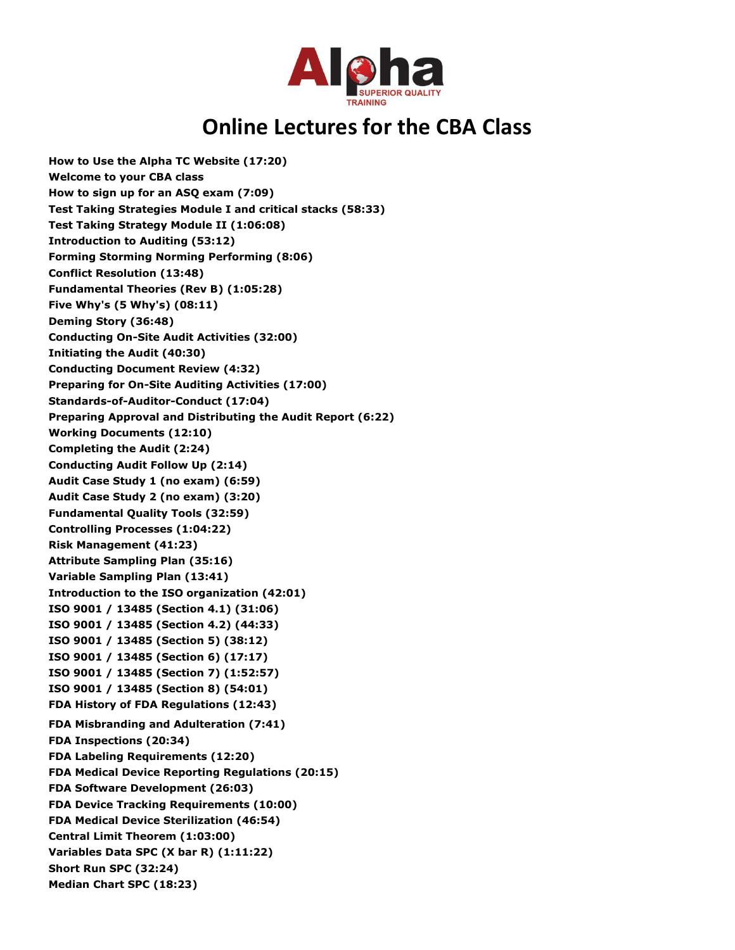

## **Online Lectures for the CBA Class**

**How to Use the Alpha TC Website (17:20) Welcome to your CBA class How to sign up for an ASQ exam (7:09) Test Taking Strategies Module I and critical stacks (58:33) Test Taking Strategy Module II (1:06:08) Introduction to Auditing (53:12) Forming Storming Norming Performing (8:06) Conflict Resolution (13:48) Fundamental Theories (Rev B) (1:05:28) Five Why's (5 Why's) (08:11) Deming Story (36:48) Conducting On-Site Audit Activities (32:00) Initiating the Audit (40:30) Conducting Document Review (4:32) Preparing for On-Site Auditing Activities (17:00) Standards-of-Auditor-Conduct (17:04) Preparing Approval and Distributing the Audit Report (6:22) Working Documents (12:10) Completing the Audit (2:24) Conducting Audit Follow Up (2:14) Audit Case Study 1 (no exam) (6:59) Audit Case Study 2 (no exam) (3:20) Fundamental Quality Tools (32:59) Controlling Processes (1:04:22) Risk Management (41:23) Attribute Sampling Plan (35:16) Variable Sampling Plan (13:41) Introduction to the ISO organization (42:01) ISO 9001 / 13485 (Section 4.1) (31:06) ISO 9001 / 13485 (Section 4.2) (44:33) ISO 9001 / 13485 (Section 5) (38:12) ISO 9001 / 13485 (Section 6) (17:17) ISO 9001 / 13485 (Section 7) (1:52:57) ISO 9001 / 13485 (Section 8) (54:01) FDA History of FDA Regulations (12:43) FDA Misbranding and Adulteration (7:41) FDA Inspections (20:34) FDA Labeling Requirements (12:20) FDA Medical Device Reporting Regulations (20:15) FDA Software Development (26:03) FDA Device Tracking Requirements (10:00) FDA Medical Device Sterilization (46:54) Central Limit Theorem (1:03:00) Variables Data SPC (X bar R) (1:11:22) Short Run SPC (32:24) Median Chart SPC (18:23)**